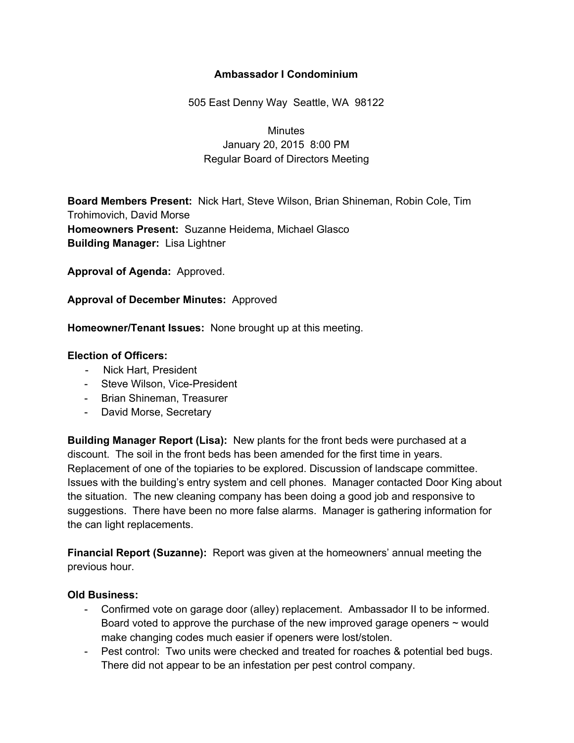## **Ambassador I Condominium**

505 East Denny Way Seattle, WA 98122

# **Minutes** January 20, 2015 8:00 PM Regular Board of Directors Meeting

**Board Members Present:** Nick Hart, Steve Wilson, Brian Shineman, Robin Cole, Tim Trohimovich, David Morse **Homeowners Present:** Suzanne Heidema, Michael Glasco **Building Manager:** Lisa Lightner

**Approval of Agenda:** Approved.

**Approval of December Minutes:** Approved

**Homeowner/Tenant Issues:** None brought up at this meeting.

#### **Election of Officers:**

- Nick Hart, President
- Steve Wilson, Vice-President
- Brian Shineman, Treasurer
- David Morse, Secretary

**Building Manager Report (Lisa):** New plants for the front beds were purchased at a discount. The soil in the front beds has been amended for the first time in years. Replacement of one of the topiaries to be explored. Discussion of landscape committee. Issues with the building's entry system and cell phones. Manager contacted Door King about the situation. The new cleaning company has been doing a good job and responsive to suggestions. There have been no more false alarms. Manager is gathering information for the can light replacements.

**Financial Report (Suzanne):** Report was given at the homeowners' annual meeting the previous hour.

#### **Old Business:**

- Confirmed vote on garage door (alley) replacement. Ambassador II to be informed. Board voted to approve the purchase of the new improved garage openers  $\sim$  would make changing codes much easier if openers were lost/stolen.
- Pest control: Two units were checked and treated for roaches & potential bed bugs. There did not appear to be an infestation per pest control company.